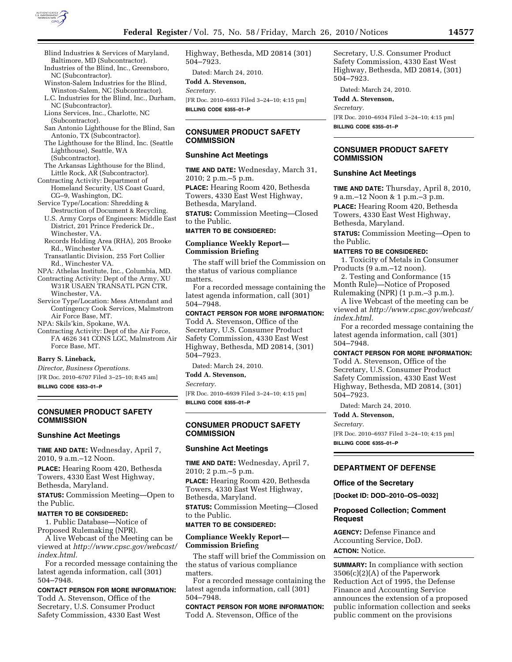

- Blind Industries & Services of Maryland, Baltimore, MD (Subcontractor). Industries of the Blind, Inc., Greensboro,
- NC (Subcontractor). Winston-Salem Industries for the Blind, Winston-Salem, NC (Subcontractor).
- L.C. Industries for the Blind, Inc., Durham, NC (Subcontractor).
- Lions Services, Inc., Charlotte, NC (Subcontractor).
- San Antonio Lighthouse for the Blind, San Antonio, TX (Subcontractor).
- The Lighthouse for the Blind, Inc. (Seattle Lighthouse), Seattle, WA (Subcontractor).
- The Arkansas Lighthouse for the Blind, Little Rock, AR (Subcontractor).
- Contracting Activity: Department of Homeland Security, US Coast Guard, CG–9, Washington, DC.
- Service Type/Location: Shredding & Destruction of Document & Recycling.
	- U.S. Army Corps of Engineers: Middle East District, 201 Prince Frederick Dr., Winchester, VA.
	- Records Holding Area (RHA), 205 Brooke Rd., Winchester VA.
	- Transatlantic Division, 255 Fort Collier Rd., Winchester VA.
- NPA: Athelas Institute, Inc., Columbia, MD.
- Contracting Activity: Dept of the Army, XU W31R USAEN TRANSATL PGN CTR, Winchester, VA.
- Service Type/Location: Mess Attendant and Contingency Cook Services, Malmstrom Air Force Base, MT.
- NPA: Skils'kin, Spokane, WA.
- Contracting Activity: Dept of the Air Force, FA 4626 341 CONS LGC, Malmstrom Air Force Base, MT.

## **Barry S. Lineback,**

*Director, Business Operations.* 

[FR Doc. 2010–6707 Filed 3–25–10; 8:45 am]

**BILLING CODE 6353–01–P** 

## **CONSUMER PRODUCT SAFETY COMMISSION**

# **Sunshine Act Meetings**

**TIME AND DATE:** Wednesday, April 7, 2010, 9 a.m.–12 Noon.

**PLACE:** Hearing Room 420, Bethesda Towers, 4330 East West Highway, Bethesda, Maryland.

**STATUS:** Commission Meeting—Open to the Public.

# **MATTER TO BE CONSIDERED:**

1. Public Database—Notice of Proposed Rulemaking (NPR).

A live Webcast of the Meeting can be viewed at *http://www.cpsc.gov/webcast/ index.html.* 

For a recorded message containing the latest agenda information, call (301) 504–7948.

# **CONTACT PERSON FOR MORE INFORMATION:**

Todd A. Stevenson, Office of the Secretary, U.S. Consumer Product Safety Commission, 4330 East West Highway, Bethesda, MD 20814 (301) 504–7923.

Dated: March 24, 2010. **Todd A. Stevenson,**  *Secretary.*  [FR Doc. 2010–6933 Filed 3–24–10; 4:15 pm] **BILLING CODE 6355–01–P** 

# **CONSUMER PRODUCT SAFETY COMMISSION**

# **Sunshine Act Meetings**

**TIME AND DATE:** Wednesday, March 31, 2010; 2 p.m.–5 p.m. **PLACE:** Hearing Room 420, Bethesda

Towers, 4330 East West Highway, Bethesda, Maryland.

**STATUS:** Commission Meeting—Closed to the Public.

# **MATTER TO BE CONSIDERED:**

# **Compliance Weekly Report— Commission Briefing**

The staff will brief the Commission on the status of various compliance matters.

For a recorded message containing the latest agenda information, call (301) 504–7948.

## **CONTACT PERSON FOR MORE INFORMATION:**

Todd A. Stevenson, Office of the Secretary, U.S. Consumer Product Safety Commission, 4330 East West Highway, Bethesda, MD 20814, (301) 504–7923.

Dated: March 24, 2010.

# **Todd A. Stevenson,**

*Secretary.* 

[FR Doc. 2010–6939 Filed 3–24–10; 4:15 pm] **BILLING CODE 6355–01–P** 

## **CONSUMER PRODUCT SAFETY COMMISSION**

### **Sunshine Act Meetings**

**TIME AND DATE:** Wednesday, April 7, 2010; 2 p.m.–5 p.m. **PLACE:** Hearing Room 420, Bethesda Towers, 4330 East West Highway,

Bethesda, Maryland.

**STATUS:** Commission Meeting—Closed to the Public.

## **MATTER TO BE CONSIDERED:**

# **Compliance Weekly Report— Commission Briefing**

The staff will brief the Commission on the status of various compliance matters.

For a recorded message containing the latest agenda information, call (301) 504–7948.

**CONTACT PERSON FOR MORE INFORMATION:**  Todd A. Stevenson, Office of the

Secretary, U.S. Consumer Product Safety Commission, 4330 East West Highway, Bethesda, MD 20814, (301) 504–7923.

Dated: March 24, 2010.

# **Todd A. Stevenson,**

*Secretary.* 

[FR Doc. 2010–6934 Filed 3–24–10; 4:15 pm] **BILLING CODE 6355–01–P** 

## **CONSUMER PRODUCT SAFETY COMMISSION**

#### **Sunshine Act Meetings**

**TIME AND DATE:** Thursday, April 8, 2010, 9 a.m.–12 Noon & 1 p.m.–3 p.m. **PLACE:** Hearing Room 420, Bethesda Towers, 4330 East West Highway, Bethesda, Maryland.

**STATUS:** Commission Meeting—Open to the Public.

#### **MATTERS TO BE CONSIDERED:**

1. Toxicity of Metals in Consumer Products (9 a.m.–12 noon).

2. Testing and Conformance (15 Month Rule)—Notice of Proposed

Rulemaking (NPR) (1 p.m.–3 p.m.). A live Webcast of the meeting can be viewed at *http://www.cpsc.gov/webcast/ index.html.* 

For a recorded message containing the latest agenda information, call (301) 504–7948.

## **CONTACT PERSON FOR MORE INFORMATION:**

Todd A. Stevenson, Office of the Secretary, U.S. Consumer Product Safety Commission, 4330 East West Highway, Bethesda, MD 20814, (301) 504–7923.

Dated: March 24, 2010.

### **Todd A. Stevenson,**

*Secretary.* 

[FR Doc. 2010–6937 Filed 3–24–10; 4:15 pm] **BILLING CODE 6355–01–P** 

## **DEPARTMENT OF DEFENSE**

#### **Office of the Secretary**

**[Docket ID: DOD–2010–OS–0032]** 

# **Proposed Collection; Comment Request**

**AGENCY:** Defense Finance and Accounting Service, DoD. **ACTION:** Notice.

**SUMMARY:** In compliance with section 3506(c)(2)(A) of the Paperwork Reduction Act of 1995, the Defense Finance and Accounting Service announces the extension of a proposed public information collection and seeks public comment on the provisions